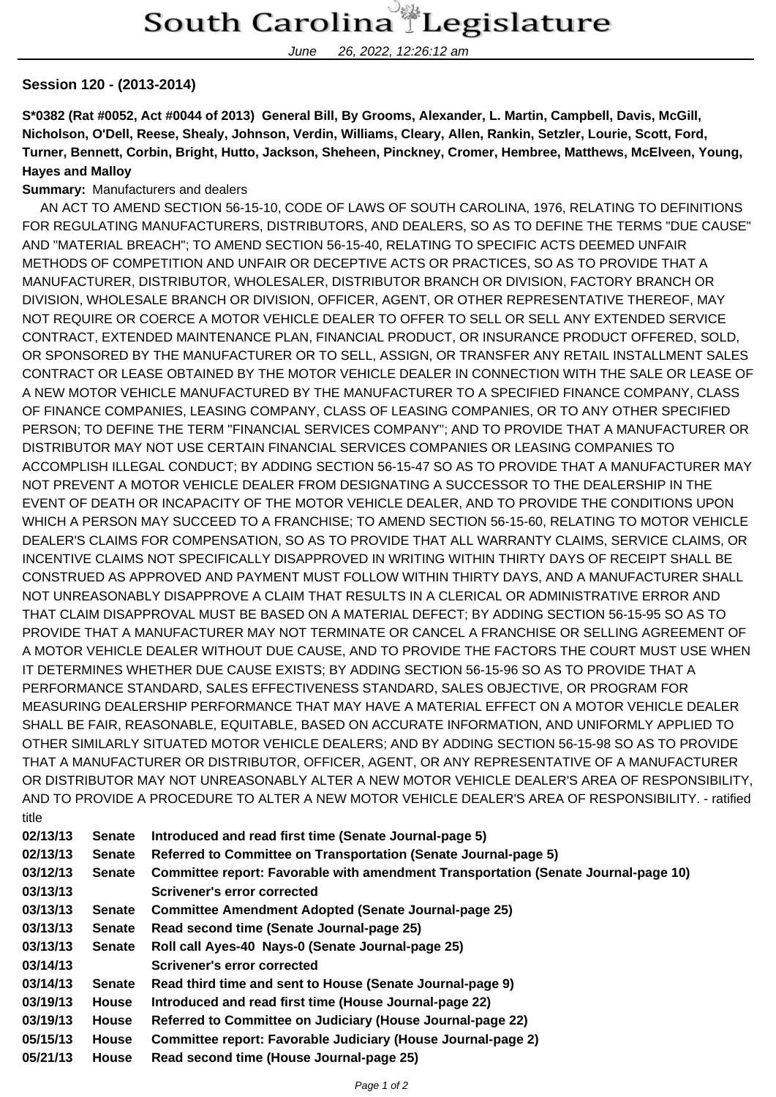June 26, 2022, 12:26:12 am

## **Session 120 - (2013-2014)**

**S\*0382 (Rat #0052, Act #0044 of 2013) General Bill, By Grooms, Alexander, L. Martin, Campbell, Davis, McGill, Nicholson, O'Dell, Reese, Shealy, Johnson, Verdin, Williams, Cleary, Allen, Rankin, Setzler, Lourie, Scott, Ford, Turner, Bennett, Corbin, Bright, Hutto, Jackson, Sheheen, Pinckney, Cromer, Hembree, Matthews, McElveen, Young, Hayes and Malloy**

## **Summary:** Manufacturers and dealers

 AN ACT TO AMEND SECTION 56-15-10, CODE OF LAWS OF SOUTH CAROLINA, 1976, RELATING TO DEFINITIONS FOR REGULATING MANUFACTURERS, DISTRIBUTORS, AND DEALERS, SO AS TO DEFINE THE TERMS "DUE CAUSE" AND "MATERIAL BREACH"; TO AMEND SECTION 56-15-40, RELATING TO SPECIFIC ACTS DEEMED UNFAIR METHODS OF COMPETITION AND UNFAIR OR DECEPTIVE ACTS OR PRACTICES, SO AS TO PROVIDE THAT A MANUFACTURER, DISTRIBUTOR, WHOLESALER, DISTRIBUTOR BRANCH OR DIVISION, FACTORY BRANCH OR DIVISION, WHOLESALE BRANCH OR DIVISION, OFFICER, AGENT, OR OTHER REPRESENTATIVE THEREOF, MAY NOT REQUIRE OR COERCE A MOTOR VEHICLE DEALER TO OFFER TO SELL OR SELL ANY EXTENDED SERVICE CONTRACT, EXTENDED MAINTENANCE PLAN, FINANCIAL PRODUCT, OR INSURANCE PRODUCT OFFERED, SOLD, OR SPONSORED BY THE MANUFACTURER OR TO SELL, ASSIGN, OR TRANSFER ANY RETAIL INSTALLMENT SALES CONTRACT OR LEASE OBTAINED BY THE MOTOR VEHICLE DEALER IN CONNECTION WITH THE SALE OR LEASE OF A NEW MOTOR VEHICLE MANUFACTURED BY THE MANUFACTURER TO A SPECIFIED FINANCE COMPANY, CLASS OF FINANCE COMPANIES, LEASING COMPANY, CLASS OF LEASING COMPANIES, OR TO ANY OTHER SPECIFIED PERSON; TO DEFINE THE TERM "FINANCIAL SERVICES COMPANY"; AND TO PROVIDE THAT A MANUFACTURER OR DISTRIBUTOR MAY NOT USE CERTAIN FINANCIAL SERVICES COMPANIES OR LEASING COMPANIES TO ACCOMPLISH ILLEGAL CONDUCT; BY ADDING SECTION 56-15-47 SO AS TO PROVIDE THAT A MANUFACTURER MAY NOT PREVENT A MOTOR VEHICLE DEALER FROM DESIGNATING A SUCCESSOR TO THE DEALERSHIP IN THE EVENT OF DEATH OR INCAPACITY OF THE MOTOR VEHICLE DEALER, AND TO PROVIDE THE CONDITIONS UPON WHICH A PERSON MAY SUCCEED TO A FRANCHISE; TO AMEND SECTION 56-15-60, RELATING TO MOTOR VEHICLE DEALER'S CLAIMS FOR COMPENSATION, SO AS TO PROVIDE THAT ALL WARRANTY CLAIMS, SERVICE CLAIMS, OR INCENTIVE CLAIMS NOT SPECIFICALLY DISAPPROVED IN WRITING WITHIN THIRTY DAYS OF RECEIPT SHALL BE CONSTRUED AS APPROVED AND PAYMENT MUST FOLLOW WITHIN THIRTY DAYS, AND A MANUFACTURER SHALL NOT UNREASONABLY DISAPPROVE A CLAIM THAT RESULTS IN A CLERICAL OR ADMINISTRATIVE ERROR AND THAT CLAIM DISAPPROVAL MUST BE BASED ON A MATERIAL DEFECT; BY ADDING SECTION 56-15-95 SO AS TO PROVIDE THAT A MANUFACTURER MAY NOT TERMINATE OR CANCEL A FRANCHISE OR SELLING AGREEMENT OF A MOTOR VEHICLE DEALER WITHOUT DUE CAUSE, AND TO PROVIDE THE FACTORS THE COURT MUST USE WHEN IT DETERMINES WHETHER DUE CAUSE EXISTS; BY ADDING SECTION 56-15-96 SO AS TO PROVIDE THAT A PERFORMANCE STANDARD, SALES EFFECTIVENESS STANDARD, SALES OBJECTIVE, OR PROGRAM FOR MEASURING DEALERSHIP PERFORMANCE THAT MAY HAVE A MATERIAL EFFECT ON A MOTOR VEHICLE DEALER SHALL BE FAIR, REASONABLE, EQUITABLE, BASED ON ACCURATE INFORMATION, AND UNIFORMLY APPLIED TO OTHER SIMILARLY SITUATED MOTOR VEHICLE DEALERS; AND BY ADDING SECTION 56-15-98 SO AS TO PROVIDE THAT A MANUFACTURER OR DISTRIBUTOR, OFFICER, AGENT, OR ANY REPRESENTATIVE OF A MANUFACTURER OR DISTRIBUTOR MAY NOT UNREASONABLY ALTER A NEW MOTOR VEHICLE DEALER'S AREA OF RESPONSIBILITY, AND TO PROVIDE A PROCEDURE TO ALTER A NEW MOTOR VEHICLE DEALER'S AREA OF RESPONSIBILITY. - ratified title

| 02/13/13 | <b>Senate</b> | Introduced and read first time (Senate Journal-page 5)                             |
|----------|---------------|------------------------------------------------------------------------------------|
| 02/13/13 | <b>Senate</b> | Referred to Committee on Transportation (Senate Journal-page 5)                    |
| 03/12/13 | <b>Senate</b> | Committee report: Favorable with amendment Transportation (Senate Journal-page 10) |
| 03/13/13 |               | Scrivener's error corrected                                                        |
| 03/13/13 | <b>Senate</b> | Committee Amendment Adopted (Senate Journal-page 25)                               |
| 03/13/13 | <b>Senate</b> | Read second time (Senate Journal-page 25)                                          |
| 03/13/13 | <b>Senate</b> | Roll call Ayes-40 Nays-0 (Senate Journal-page 25)                                  |
| 03/14/13 |               | Scrivener's error corrected                                                        |
| 03/14/13 | <b>Senate</b> | Read third time and sent to House (Senate Journal-page 9)                          |
| 03/19/13 | <b>House</b>  | Introduced and read first time (House Journal-page 22)                             |
| 03/19/13 | <b>House</b>  | Referred to Committee on Judiciary (House Journal-page 22)                         |
| 05/15/13 | House         | Committee report: Favorable Judiciary (House Journal-page 2)                       |
| 05/21/13 | <b>House</b>  | Read second time (House Journal-page 25)                                           |